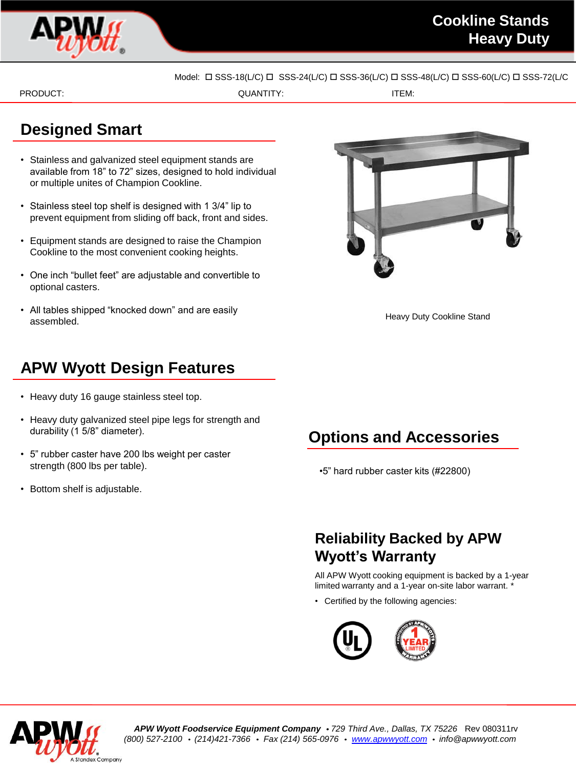

Model:  $\Box$  SSS-18(L/C)  $\Box$  SSS-24(L/C)  $\Box$  SSS-36(L/C)  $\Box$  SSS-48(L/C)  $\Box$  SSS-60(L/C)  $\Box$  SSS-72(L/C

PRODUCT: TEM: ITEM: ITEM: ITEM: ITEM: ITEM: ITEM: ITEM: ITEM: ITEM: ITEM: ITEM: ITEM: ITEM: ITEM: ITEM: ITEM: ITEM: ITEM: ITEM: ITEM: ITEM: ITEM: ITEM: ITEM: ITEM: ITEM: ITEM: ITEM: ITEM: ITEM: ITEM: ITEM: ITEM: ITEM: ITEM

# **Designed Smart**

- Stainless and galvanized steel equipment stands are available from 18" to 72" sizes, designed to hold individual or multiple unites of Champion Cookline.
- Stainless steel top shelf is designed with 1 3/4" lip to prevent equipment from sliding off back, front and sides.
- Equipment stands are designed to raise the Champion Cookline to the most convenient cooking heights.
- One inch "bullet feet" are adjustable and convertible to optional casters.
- All tables shipped "knocked down" and are easily assembled.



Heavy Duty Cookline Stand

# **APW Wyott Design Features**

- Heavy duty 16 gauge stainless steel top.
- Heavy duty galvanized steel pipe legs for strength and durability (1 5/8" diameter).
- 5" rubber caster have 200 lbs weight per caster strength (800 lbs per table).
- Bottom shelf is adjustable.

# **Options and Accessories**

•5" hard rubber caster kits (#22800)

# **Reliability Backed by APW Wyott's Warranty**

All APW Wyott cooking equipment is backed by a 1-year limited warranty and a 1-year on-site labor warrant. \*

• Certified by the following agencies: